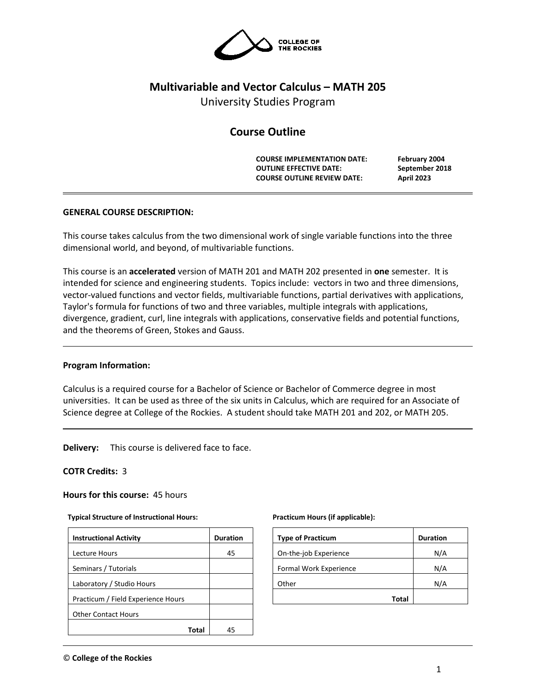

# **Multivariable and Vector Calculus – MATH 205**

University Studies Program

# **Course Outline**

**COURSE IMPLEMENTATION DATE: February 2004 OUTLINE EFFECTIVE DATE: September 2018 COURSE OUTLINE REVIEW DATE: April 2023**

# **GENERAL COURSE DESCRIPTION:**

This course takes calculus from the two dimensional work of single variable functions into the three dimensional world, and beyond, of multivariable functions.

This course is an **accelerated** version of MATH 201 and MATH 202 presented in **one** semester. It is intended for science and engineering students. Topics include: vectors in two and three dimensions, vector-valued functions and vector fields, multivariable functions, partial derivatives with applications, Taylor's formula for functions of two and three variables, multiple integrals with applications, divergence, gradient, curl, line integrals with applications, conservative fields and potential functions, and the theorems of Green, Stokes and Gauss.

## **Program Information:**

Calculus is a required course for a Bachelor of Science or Bachelor of Commerce degree in most universities. It can be used as three of the six units in Calculus, which are required for an Associate of Science degree at College of the Rockies. A student should take MATH 201 and 202, or MATH 205.

**Delivery:** This course is delivered face to face.

## **COTR Credits:** 3

**Hours for this course:** 45 hours

## **Typical Structure of Instructional Hours:**

| <b>Instructional Activity</b>      | <b>Duration</b> |
|------------------------------------|-----------------|
| Lecture Hours                      | 45              |
| Seminars / Tutorials               |                 |
| Laboratory / Studio Hours          |                 |
| Practicum / Field Experience Hours |                 |
| <b>Other Contact Hours</b>         |                 |
| Total                              | 45              |

#### **Practicum Hours (if applicable):**

| <b>Type of Practicum</b> | <b>Duration</b> |
|--------------------------|-----------------|
| On-the-job Experience    | N/A             |
| Formal Work Experience   | N/A             |
| Other                    | N/A             |
| <b>Total</b>             |                 |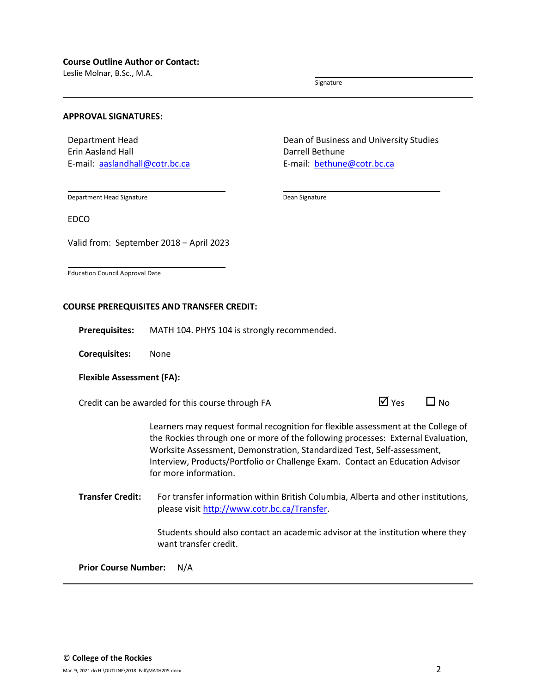Leslie Molnar, B.Sc., M.A.

Signature

#### **APPROVAL SIGNATURES:**

Department Head Erin Aasland Hall E-mail: [aaslandhall@cotr.bc.ca](mailto:aaslandhall@cotr.bc.ca) Dean of Business and University Studies Darrell Bethune E-mail: [bethune@cotr.bc.ca](mailto:bethune@cotr.bc.ca)

Department Head Signature

Dean Signature

EDCO

Valid from: September 2018 – April 2023

Education Council Approval Date

#### **COURSE PREREQUISITES AND TRANSFER CREDIT:**

**Prerequisites:** MATH 104. PHYS 104 is strongly recommended.

**Corequisites:** None

#### **Flexible Assessment (FA):**

Credit can be awarded for this course through FA  $\Box$  Yes  $\Box$  No

Learners may request formal recognition for flexible assessment at the College of the Rockies through one or more of the following processes: External Evaluation, Worksite Assessment, Demonstration, Standardized Test, Self-assessment, Interview, Products/Portfolio or Challenge Exam. Contact an Education Advisor for more information.

**Transfer Credit:** For transfer information within British Columbia, Alberta and other institutions, please visit [http://www.cotr.bc.ca/Transfer.](http://www.cotr.bc.ca/Transfer)

> Students should also contact an academic advisor at the institution where they want transfer credit.

**Prior Course Number:** N/A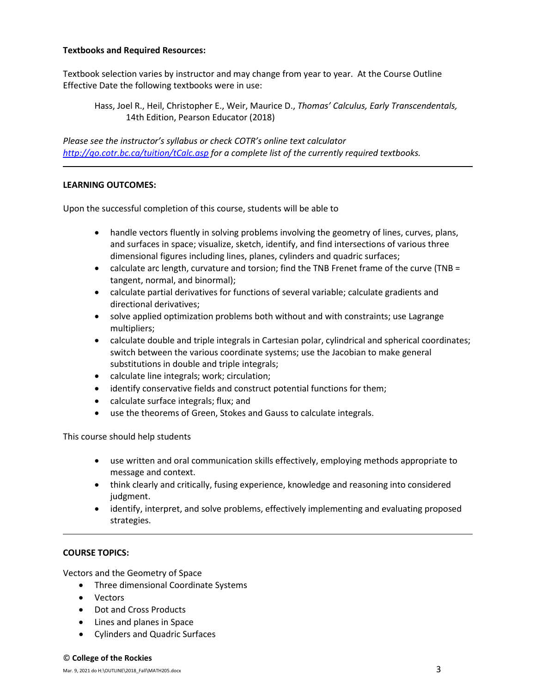# **Textbooks and Required Resources:**

Textbook selection varies by instructor and may change from year to year. At the Course Outline Effective Date the following textbooks were in use:

Hass, Joel R., Heil, Christopher E., Weir, Maurice D., *Thomas' Calculus, Early Transcendentals,*  14th Edition, Pearson Educator (2018)

*Please see the instructor's syllabus or check COTR's online text calculator <http://go.cotr.bc.ca/tuition/tCalc.asp> for a complete list of the currently required textbooks.*

# **LEARNING OUTCOMES:**

Upon the successful completion of this course, students will be able to

- handle vectors fluently in solving problems involving the geometry of lines, curves, plans, and surfaces in space; visualize, sketch, identify, and find intersections of various three dimensional figures including lines, planes, cylinders and quadric surfaces;
- calculate arc length, curvature and torsion; find the TNB Frenet frame of the curve (TNB = tangent, normal, and binormal);
- calculate partial derivatives for functions of several variable; calculate gradients and directional derivatives;
- solve applied optimization problems both without and with constraints; use Lagrange multipliers;
- calculate double and triple integrals in Cartesian polar, cylindrical and spherical coordinates; switch between the various coordinate systems; use the Jacobian to make general substitutions in double and triple integrals;
- calculate line integrals; work; circulation;
- identify conservative fields and construct potential functions for them;
- calculate surface integrals; flux; and
- use the theorems of Green, Stokes and Gauss to calculate integrals.

This course should help students

- use written and oral communication skills effectively, employing methods appropriate to message and context.
- think clearly and critically, fusing experience, knowledge and reasoning into considered judgment.
- identify, interpret, and solve problems, effectively implementing and evaluating proposed strategies.

## **COURSE TOPICS:**

Vectors and the Geometry of Space

- Three dimensional Coordinate Systems
- Vectors
- Dot and Cross Products
- Lines and planes in Space
- Cylinders and Quadric Surfaces

#### © **College of the Rockies**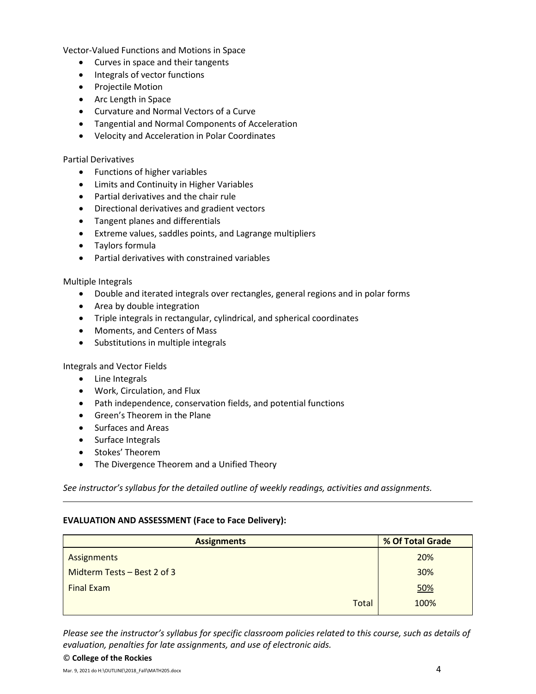Vector-Valued Functions and Motions in Space

- Curves in space and their tangents
- Integrals of vector functions
- Projectile Motion
- Arc Length in Space
- Curvature and Normal Vectors of a Curve
- Tangential and Normal Components of Acceleration
- Velocity and Acceleration in Polar Coordinates

# Partial Derivatives

- Functions of higher variables
- Limits and Continuity in Higher Variables
- Partial derivatives and the chair rule
- Directional derivatives and gradient vectors
- Tangent planes and differentials
- Extreme values, saddles points, and Lagrange multipliers
- Taylors formula
- Partial derivatives with constrained variables

# Multiple Integrals

- Double and iterated integrals over rectangles, general regions and in polar forms
- Area by double integration
- Triple integrals in rectangular, cylindrical, and spherical coordinates
- Moments, and Centers of Mass
- Substitutions in multiple integrals

Integrals and Vector Fields

- Line Integrals
- Work, Circulation, and Flux
- Path independence, conservation fields, and potential functions
- Green's Theorem in the Plane
- Surfaces and Areas
- Surface Integrals
- Stokes' Theorem
- The Divergence Theorem and a Unified Theory

*See instructor's syllabus for the detailed outline of weekly readings, activities and assignments.* 

## **EVALUATION AND ASSESSMENT (Face to Face Delivery):**

| <b>Assignments</b>          | % Of Total Grade |  |  |
|-----------------------------|------------------|--|--|
| Assignments                 | 20%              |  |  |
| Midterm Tests – Best 2 of 3 | 30%              |  |  |
| <b>Final Exam</b>           | 50%              |  |  |
| <b>Total</b>                | 100%             |  |  |

*Please see the instructor's syllabus for specific classroom policies related to this course, such as details of evaluation, penalties for late assignments, and use of electronic aids.*

#### © **College of the Rockies**

Mar. 9, 2021 do H:\OUTLINE\2018\_Fall\MATH205.docx  $4$